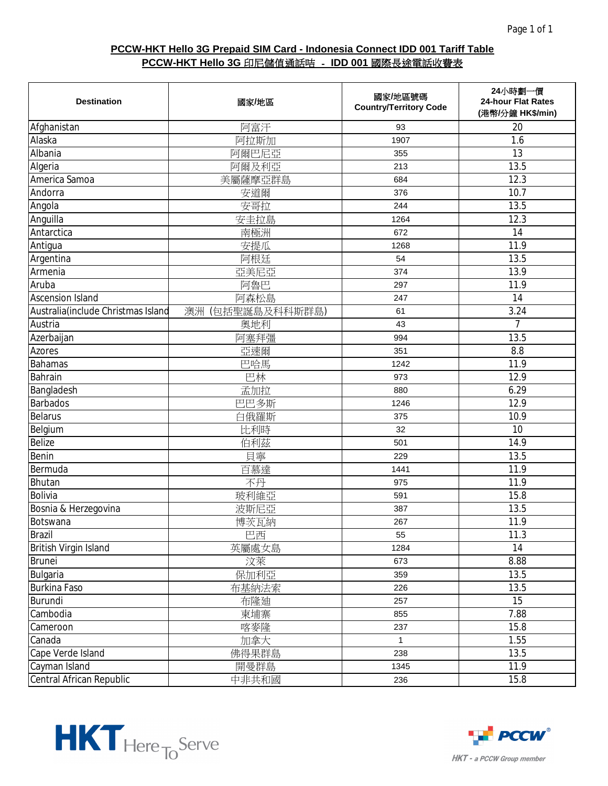| <b>Destination</b>                  | 國家/地區            | 國家/地區號碼<br><b>Country/Territory Code</b> | 24小時劃一價<br>24-hour Flat Rates<br>(港幣/分鐘 HK\$/min) |
|-------------------------------------|------------------|------------------------------------------|---------------------------------------------------|
| Afghanistan                         | 阿富汗              | 93                                       | 20                                                |
| Alaska                              | 阿拉斯加             | 1907                                     | 1.6                                               |
| Albania                             | 阿爾巴尼亞            | 355                                      | 13                                                |
| Algeria                             | 阿爾及利亞            | 213                                      | 13.5                                              |
| America Samoa                       | 美屬薩摩亞群島          | 684                                      | 12.3                                              |
| Andorra                             | 安道爾              | 376                                      | 10.7                                              |
| Angola                              | 安哥拉              | 244                                      | 13.5                                              |
| Anguilla                            | 安圭拉島             | 1264                                     | 12.3                                              |
| Antarctica                          | 南極洲              | 672                                      | 14                                                |
| Antigua                             | 安提瓜              | 1268                                     | 11.9                                              |
| Argentina                           | 阿根廷              | 54                                       | 13.5                                              |
| Armenia                             | 亞美尼亞             | 374                                      | 13.9                                              |
| Aruba                               | 阿魯巴              | 297                                      | 11.9                                              |
| <b>Ascension Island</b>             | 阿森松島             | 247                                      | 14                                                |
| Australia (include Christmas Island | 澳洲 (包括聖誕島及科科斯群島) | 61                                       | 3.24                                              |
| Austria                             | 奧地利              | 43                                       | $\overline{7}$                                    |
| Azerbaijan                          | 阿塞拜彊             | 994                                      | 13.5                                              |
| Azores                              | 亞速爾              | 351                                      | 8.8                                               |
| <b>Bahamas</b>                      | 巴哈馬              | 1242                                     | 11.9                                              |
| Bahrain                             | 巴林               | 973                                      | 12.9                                              |
| Bangladesh                          | 孟加拉              | 880                                      | 6.29                                              |
| <b>Barbados</b>                     | 巴巴多斯             | 1246                                     | 12.9                                              |
| <b>Belarus</b>                      | 白俄羅斯             | 375                                      | 10.9                                              |
| Belgium                             | 比利時              | 32                                       | 10                                                |
| Belize                              | 伯利茲              | 501                                      | 14.9                                              |
| Benin                               | 貝寧               | 229                                      | 13.5                                              |
| Bermuda                             | 百慕達              | 1441                                     | 11.9                                              |
| Bhutan                              | 不丹               | 975                                      | 11.9                                              |
| <b>Bolivia</b>                      | 玻利維亞             | 591                                      | 15.8                                              |
| Bosnia & Herzegovina                | 波斯尼亞             | 387                                      | 13.5                                              |
| Botswana                            | 博茨瓦納             | 267                                      | 11.9                                              |
| <b>Brazil</b>                       | 巴西               | 55                                       | 11.3                                              |
| British Virgin Island               | 英屬處女島            | 1284                                     | 14                                                |
| <b>Brunei</b>                       | 汶萊               | 673                                      | 8.88                                              |
| Bulgaria                            | 保加利亞             | 359                                      | 13.5                                              |
| <b>Burkina Faso</b>                 | 布基納法索            | 226                                      | 13.5                                              |
| Burundi                             | 布隆迪              | 257                                      | 15                                                |
| Cambodia                            | 柬埔寨              | 855                                      | 7.88                                              |
| Cameroon                            | 喀麥隆              | 237                                      | 15.8                                              |
| Canada                              | 加拿大              | $\mathbf{1}$                             | 1.55                                              |
| Cape Verde Island                   | 佛得果群島            | 238                                      | 13.5                                              |
| Cayman Island                       | 開曼群島             | 1345                                     | 11.9                                              |
| Central African Republic            | 中非共和國            | 236                                      | 15.8                                              |



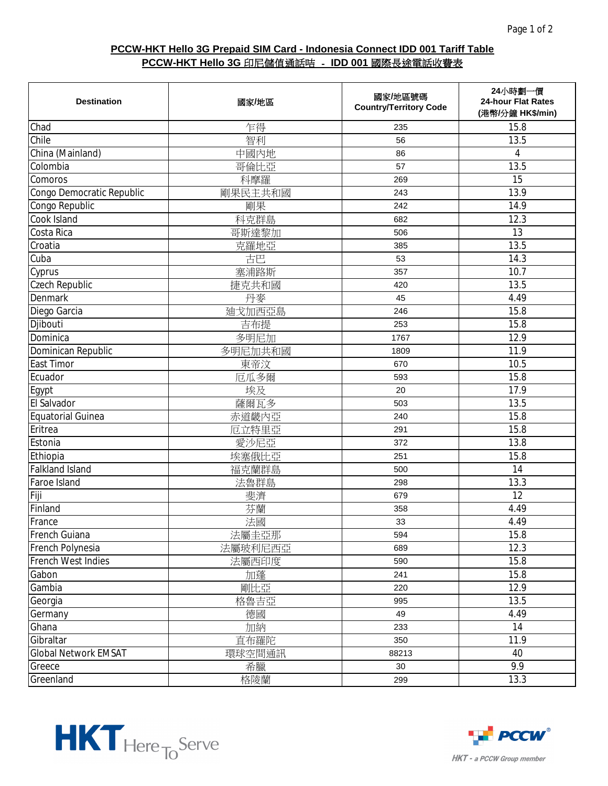| <b>Destination</b>          | 國家/地區   | 國家/地區號碼<br><b>Country/Territory Code</b> | 24小時劃一價<br>24-hour Flat Rates<br>(港幣/分鐘 HK\$/min) |
|-----------------------------|---------|------------------------------------------|---------------------------------------------------|
| Chad                        | 乍得      | 235                                      | 15.8                                              |
| Chile                       | 智利      | 56                                       | 13.5                                              |
| China (Mainland)            | 中國內地    | 86                                       | 4                                                 |
| Colombia                    | 哥倫比亞    | 57                                       | 13.5                                              |
| Comoros                     | 科摩羅     | 269                                      | 15                                                |
| Congo Democratic Republic   | 剛果民主共和國 | 243                                      | 13.9                                              |
| Congo Republic              | 剛果      | 242                                      | 14.9                                              |
| Cook Island                 | 科克群島    | 682                                      | 12.3                                              |
| Costa Rica                  | 哥斯達黎加   | 506                                      | 13                                                |
| Croatia                     | 克羅地亞    | 385                                      | 13.5                                              |
| Cuba                        | 古巴      | 53                                       | 14.3                                              |
| Cyprus                      | 塞浦路斯    | 357                                      | 10.7                                              |
| Czech Republic              | 捷克共和國   | 420                                      | 13.5                                              |
| <b>Denmark</b>              | 丹麥      | 45                                       | 4.49                                              |
| Diego Garcia                | 迪戈加西亞島  | 246                                      | 15.8                                              |
| Djibouti                    | 吉布提     | 253                                      | 15.8                                              |
| Dominica                    | 多明尼加    | 1767                                     | 12.9                                              |
| Dominican Republic          | 多明尼加共和國 | 1809                                     | 11.9                                              |
| <b>East Timor</b>           | 東帝汶     | 670                                      | 10.5                                              |
| Ecuador                     | 厄瓜多爾    | 593                                      | 15.8                                              |
| Egypt                       | 埃及      | 20                                       | 17.9                                              |
| El Salvador                 | 薩爾瓦多    | 503                                      | 13.5                                              |
| <b>Equatorial Guinea</b>    | 赤道畿内亞   | 240                                      | 15.8                                              |
| Eritrea                     | 厄立特里亞   | 291                                      | 15.8                                              |
| Estonia                     | 愛沙尼亞    | 372                                      | 13.8                                              |
| Ethiopia                    | 埃塞俄比亞   | 251                                      | 15.8                                              |
| <b>Falkland Island</b>      | 福克蘭群島   | 500                                      | 14                                                |
| Faroe Island                | 法魯群島    | 298                                      | 13.3                                              |
| Fiji                        | 斐濟      | 679                                      | 12                                                |
| Finland                     | 芬蘭      | 358                                      | 4.49                                              |
| France                      | 法國      | 33                                       | 4.49                                              |
| French Guiana               | 法屬圭亞那   | 594                                      | 15.8                                              |
| French Polynesia            | 法屬玻利尼西亞 | 689                                      | 12.3                                              |
| French West Indies          | 法屬西印度   | 590                                      | 15.8                                              |
| Gabon                       | 加蓬      | 241                                      | 15.8                                              |
| Gambia                      | 剛比亞     | 220                                      | 12.9                                              |
| Georgia                     | 格魯吉亞    | 995                                      | 13.5                                              |
| Germany                     | 德國      | 49                                       | 4.49                                              |
| Ghana                       | 加納      | 233                                      | 14                                                |
| Gibraltar                   | 直布羅陀    | 350                                      | 11.9                                              |
| <b>Global Network EMSAT</b> | 環球空間通訊  | 88213                                    | 40                                                |
| Greece                      | 希臘      | 30                                       | 9.9                                               |
| Greenland                   | 格陵蘭     | 299                                      | 13.3                                              |



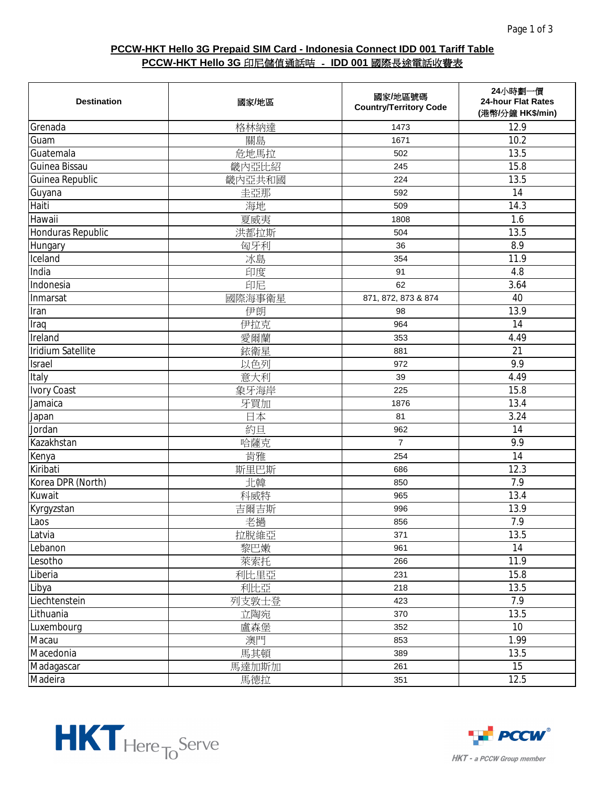| <b>Destination</b> | 國家/地區  | 國家/地區號碼<br><b>Country/Territory Code</b> | 24小時劃一價<br>24-hour Flat Rates<br>(港幣/分鐘 HK\$/min) |
|--------------------|--------|------------------------------------------|---------------------------------------------------|
| Grenada            | 格林納達   | 1473                                     | 12.9                                              |
| Guam               | 關島     | 1671                                     | 10.2                                              |
| Guatemala          | 危地馬拉   | 502                                      | 13.5                                              |
| Guinea Bissau      | 畿内亞比紹  | 245                                      | 15.8                                              |
| Guinea Republic    | 畿内亞共和國 | 224                                      | 13.5                                              |
| Guyana             | 圭亞那    | 592                                      | 14                                                |
| Haiti              | 海地     | 509                                      | 14.3                                              |
| Hawaii             | 夏威夷    | 1808                                     | 1.6                                               |
| Honduras Republic  | 洪都拉斯   | 504                                      | 13.5                                              |
| Hungary            | 匈牙利    | 36                                       | 8.9                                               |
| Iceland            | 冰島     | 354                                      | 11.9                                              |
| India              | 印度     | 91                                       | 4.8                                               |
| Indonesia          | 印尼     | 62                                       | 3.64                                              |
| Inmarsat           | 國際海事衛星 | 871, 872, 873 & 874                      | 40                                                |
| Iran               | 伊朗     | 98                                       | 13.9                                              |
| Iraq               | 伊拉克    | 964                                      | 14                                                |
| Ireland            | 愛爾蘭    | 353                                      | 4.49                                              |
| Iridium Satellite  | 銥衛星    | 881                                      | 21                                                |
| Israel             | 以色列    | 972                                      | 9.9                                               |
| Italy              | 意大利    | 39                                       | 4.49                                              |
| <b>Ivory Coast</b> | 象牙海岸   | 225                                      | 15.8                                              |
| Jamaica            | 牙買加    | 1876                                     | 13.4                                              |
| Japan              | 日本     | 81                                       | 3.24                                              |
| Jordan             | 約旦     | 962                                      | 14                                                |
| Kazakhstan         | 哈薩克    | $\overline{7}$                           | 9.9                                               |
| Kenya              | 肯雅     | 254                                      | 14                                                |
| Kiribati           | 斯里巴斯   | 686                                      | 12.3                                              |
| Korea DPR (North)  | 北韓     | 850                                      | 7.9                                               |
| Kuwait             | 科威特    | 965                                      | 13.4                                              |
| Kyrgyzstan         | 吉爾吉斯   | 996                                      | 13.9                                              |
| Laos               | 老撾     | 856                                      | 7.9                                               |
| Latvia             | 拉脫維亞   | 371                                      | 13.5                                              |
| Lebanon            | 黎巴嫩    | 961                                      | 14                                                |
| Lesotho            | 萊索托    | 266                                      | 11.9                                              |
| Liberia            | 利比里亞   | 231                                      | 15.8                                              |
| Libya              | 利比亞    | 218                                      | 13.5                                              |
| Liechtenstein      | 列支敦士登  | 423                                      | 7.9                                               |
| Lithuania          | 立陶宛    | 370                                      | 13.5                                              |
| Luxembourg         | 盧森堡    | 352                                      | 10                                                |
| Macau              | 澳門     | 853                                      | 1.99                                              |
| Macedonia          | 馬其頓    | 389                                      | 13.5                                              |
| Madagascar         | 馬達加斯加  | 261                                      | 15                                                |
| Madeira            | 馬德拉    | 351                                      | 12.5                                              |



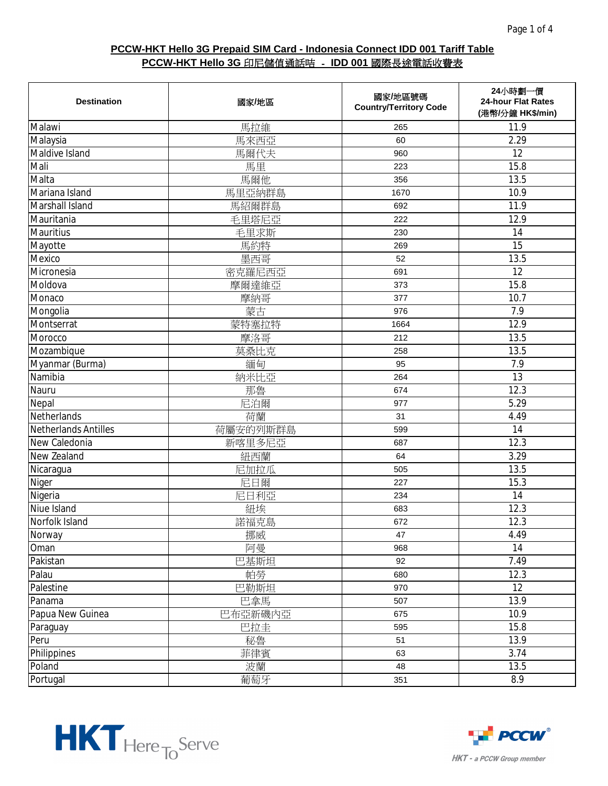| <b>Destination</b>          | 國家/地區    | 國家/地區號碼<br><b>Country/Territory Code</b> | 24小時劃一價<br>24-hour Flat Rates<br>(港幣/分鐘 HK\$/min) |
|-----------------------------|----------|------------------------------------------|---------------------------------------------------|
| Malawi                      | 馬拉維      | 265                                      | 11.9                                              |
| Malaysia                    | 馬來西亞     | 60                                       | 2.29                                              |
| Maldive Island              | 馬爾代夫     | 960                                      | 12                                                |
| Mali                        | 馬里       | 223                                      | 15.8                                              |
| Malta                       | 馬爾他      | 356                                      | 13.5                                              |
| Mariana Island              | 馬里亞納群島   | 1670                                     | 10.9                                              |
| Marshall Island             | 馬紹爾群島    | 692                                      | 11.9                                              |
| Mauritania                  | 毛里塔尼亞    | 222                                      | 12.9                                              |
| Mauritius                   | 毛里求斯     | 230                                      | 14                                                |
| Mayotte                     | 馬約特      | 269                                      | 15                                                |
| Mexico                      | 墨西哥      | 52                                       | 13.5                                              |
| Micronesia                  | 密克羅尼西亞   | 691                                      | 12                                                |
| Moldova                     | 摩爾達維亞    | 373                                      | 15.8                                              |
| Monaco                      | 摩納哥      | 377                                      | 10.7                                              |
| Mongolia                    | 蒙古       | 976                                      | 7.9                                               |
| Montserrat                  | 蒙特塞拉特    | 1664                                     | 12.9                                              |
| Morocco                     | 摩洛哥      | 212                                      | 13.5                                              |
| Mozambique                  | 莫桑比克     | 258                                      | 13.5                                              |
| Myanmar (Burma)             | 緬甸       | 95                                       | 7.9                                               |
| Namibia                     | 納米比亞     | 264                                      | 13                                                |
| Nauru                       | 那魯       | 674                                      | 12.3                                              |
| Nepal                       | 尼泊爾      | 977                                      | 5.29                                              |
| Netherlands                 | 荷蘭       | 31                                       | 4.49                                              |
| <b>Netherlands Antilles</b> | 荷屬安的列斯群島 | 599                                      | 14                                                |
| New Caledonia               | 新喀里多尼亞   | 687                                      | 12.3                                              |
| New Zealand                 | 紐西蘭      | 64                                       | 3.29                                              |
| Nicaragua                   | 尼加拉瓜     | 505                                      | 13.5                                              |
| Niger                       | 尼日爾      | 227                                      | 15.3                                              |
| Nigeria                     | 尼日利亞     | 234                                      | 14                                                |
| Niue Island                 | 紐埃       | 683                                      | 12.3                                              |
| Norfolk Island              | 諾福克島     | 672                                      | 12.3                                              |
| Norway                      | 挪威       | 47                                       | 4.49                                              |
| Oman                        | 阿曼       | 968                                      | 14                                                |
| Pakistan                    | 巴基斯坦     | 92                                       | 7.49                                              |
| Palau                       | 帕勞       | 680                                      | 12.3                                              |
| Palestine                   | 巴勒斯坦     | 970                                      | 12                                                |
| Panama                      | 巴拿馬      | 507                                      | 13.9                                              |
| Papua New Guinea            | 巴布亞新磯內亞  | 675                                      | 10.9                                              |
| Paraguay                    | 巴拉圭      | 595                                      | 15.8                                              |
| Peru                        | 秘魯       | 51                                       | 13.9                                              |
| Philippines                 | 菲律賓      | 63                                       | 3.74                                              |
| Poland                      | 波蘭       | 48                                       | 13.5                                              |
| Portugal                    | 葡萄牙      | 351                                      | 8.9                                               |



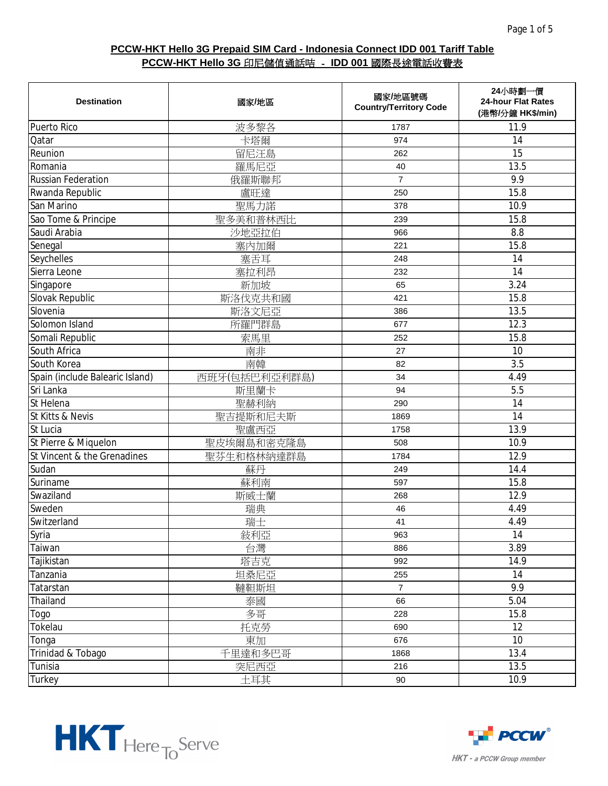| <b>Destination</b>              | 國家/地區         | 國家/地區號碼<br><b>Country/Territory Code</b> | 24小時劃一價<br>24-hour Flat Rates<br>(港幣/分鐘 HK\$/min) |
|---------------------------------|---------------|------------------------------------------|---------------------------------------------------|
| Puerto Rico                     | 波多黎各          | 1787                                     | 11.9                                              |
| Qatar                           | 卡塔爾           | 974                                      | 14                                                |
| Reunion                         | 留尼汪島          | 262                                      | 15                                                |
| Romania                         | 羅馬尼亞          | 40                                       | 13.5                                              |
| <b>Russian Federation</b>       | 俄羅斯聯邦         | $\overline{7}$                           | 9.9                                               |
| Rwanda Republic                 | 盧旺達           | 250                                      | 15.8                                              |
| San Marino                      | 聖馬力諾          | 378                                      | 10.9                                              |
| Sao Tome & Principe             | 聖多美和普林西比      | 239                                      | 15.8                                              |
| Saudi Arabia                    | 沙地亞拉伯         | 966                                      | 8.8                                               |
| Senegal                         | 塞内加爾          | 221                                      | 15.8                                              |
| Seychelles                      | 塞舌耳           | 248                                      | 14                                                |
| Sierra Leone                    | 塞拉利昂          | 232                                      | 14                                                |
| Singapore                       | 新加坡           | 65                                       | 3.24                                              |
| Slovak Republic                 | 斯洛伐克共和國       | 421                                      | 15.8                                              |
| Slovenia                        | 斯洛文尼亞         | 386                                      | 13.5                                              |
| Solomon Island                  | 所羅門群島         | 677                                      | 12.3                                              |
| Somali Republic                 | 索馬里           | 252                                      | 15.8                                              |
| South Africa                    | 南非            | 27                                       | 10                                                |
| South Korea                     | 南韓            | 82                                       | 3.5                                               |
| Spain (include Balearic Island) | 西班牙(包括巴利亞利群島) | 34                                       | 4.49                                              |
| Sri Lanka                       | 斯里蘭卡          | 94                                       | $\overline{5.5}$                                  |
| St Helena                       | 聖赫利納          | 290                                      | 14                                                |
| St Kitts & Nevis                | 聖吉提斯和尼夫斯      | 1869                                     | 14                                                |
| St Lucia                        | 聖盧西亞          | 1758                                     | 13.9                                              |
| St Pierre & Miquelon            | 聖皮埃爾島和密克隆島    | 508                                      | 10.9                                              |
| St Vincent & the Grenadines     | 聖芬生和格林納達群島    | 1784                                     | 12.9                                              |
| Sudan                           | 蘇丹            | 249                                      | 14.4                                              |
| Suriname                        | 蘇利南           | 597                                      | 15.8                                              |
| Swaziland                       | 斯威士蘭          | 268                                      | 12.9                                              |
| Sweden                          | 瑞典            | 46                                       | 4.49                                              |
| Switzerland                     | 瑞士            | 41                                       | 4.49                                              |
| Syria                           | 敍利亞           | 963                                      | 14                                                |
| Taiwan                          | 台灣            | 886                                      | 3.89                                              |
| Tajikistan                      | 塔吉克           | 992                                      | 14.9                                              |
| Tanzania                        | 坦桑尼亞          | 255                                      | 14                                                |
| Tatarstan                       | 韃靼斯坦          | $\overline{7}$                           | 9.9                                               |
| Thailand                        | 泰國            | 66                                       | 5.04                                              |
| Togo                            | 多哥            | 228                                      | 15.8                                              |
| Tokelau                         | 托克勞           | 690                                      | 12                                                |
| Tonga                           | 東加            | 676                                      | 10                                                |
| Trinidad & Tobago               | 千里達和多巴哥       | 1868                                     | 13.4                                              |
| Tunisia                         | 突尼西亞          | 216                                      | 13.5                                              |
| Turkey                          | 土耳其           | 90                                       | 10.9                                              |